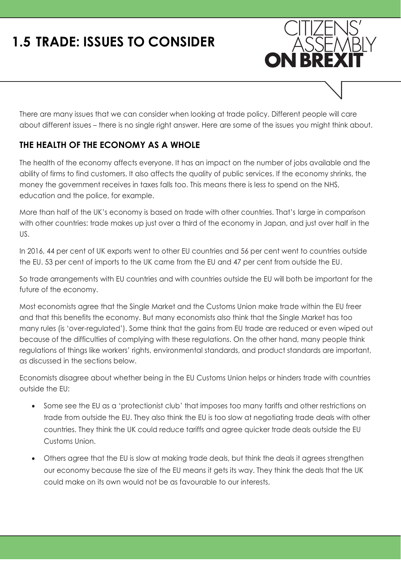# **1.5 TRADE: ISSUES TO CONSIDER**



ASSEN

**ON BREX** 

#### **THE HEALTH OF THE ECONOMY AS A WHOLE**

The health of the economy affects everyone. It has an impact on the number of jobs available and the ability of firms to find customers. It also affects the quality of public services. If the economy shrinks, the money the government receives in taxes falls too. This means there is less to spend on the NHS, education and the police, for example.

More than half of the UK's economy is based on trade with other countries. That's large in comparison with other countries: trade makes up just over a third of the economy in Japan, and just over half in the US.

In 2016, 44 per cent of UK exports went to other EU countries and 56 per cent went to countries outside the EU. 53 per cent of imports to the UK came from the EU and 47 per cent from outside the EU.

So trade arrangements with EU countries and with countries outside the EU will both be important for the future of the economy.

Most economists agree that the Single Market and the Customs Union make trade within the EU freer and that this benefits the economy. But many economists also think that the Single Market has too many rules (is 'over-regulated'). Some think that the gains from EU trade are reduced or even wiped out because of the difficulties of complying with these regulations. On the other hand, many people think regulations of things like workers' rights, environmental standards, and product standards are important, as discussed in the sections below.

Economists disagree about whether being in the EU Customs Union helps or hinders trade with countries outside the EU:

- Some see the EU as a 'protectionist club' that imposes too many tariffs and other restrictions on trade from outside the EU. They also think the EU is too slow at negotiating trade deals with other countries. They think the UK could reduce tariffs and agree quicker trade deals outside the EU Customs Union.
- Others agree that the EU is slow at making trade deals, but think the deals it agrees strengthen our economy because the size of the EU means it gets its way. They think the deals that the UK could make on its own would not be as favourable to our interests.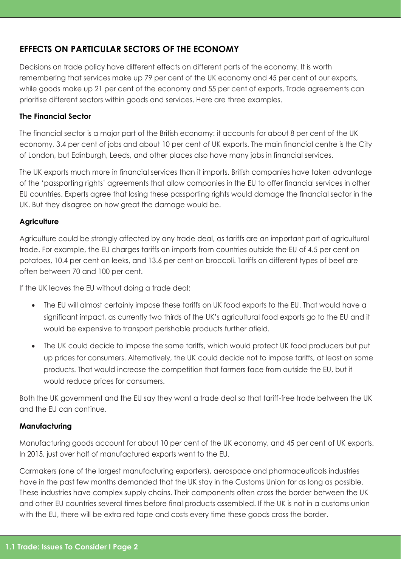## **EFFECTS ON PARTICULAR SECTORS OF THE ECONOMY**

Decisions on trade policy have different effects on different parts of the economy. It is worth remembering that services make up 79 per cent of the UK economy and 45 per cent of our exports, while goods make up 21 per cent of the economy and 55 per cent of exports. Trade agreements can prioritise different sectors within goods and services. Here are three examples.

#### **The Financial Sector**

The financial sector is a major part of the British economy: it accounts for about 8 per cent of the UK economy, 3.4 per cent of jobs and about 10 per cent of UK exports. The main financial centre is the City of London, but Edinburgh, Leeds, and other places also have many jobs in financial services.

The UK exports much more in financial services than it imports. British companies have taken advantage of the 'passporting rights' agreements that allow companies in the EU to offer financial services in other EU countries. Experts agree that losing these passporting rights would damage the financial sector in the UK. But they disagree on how great the damage would be.

#### **Agriculture**

Agriculture could be strongly affected by any trade deal, as tariffs are an important part of agricultural trade. For example, the EU charges tariffs on imports from countries outside the EU of 4.5 per cent on potatoes, 10.4 per cent on leeks, and 13.6 per cent on broccoli. Tariffs on different types of beef are often between 70 and 100 per cent.

If the UK leaves the EU without doing a trade deal:

- The EU will almost certainly impose these tariffs on UK food exports to the EU. That would have a significant impact, as currently two thirds of the UK's agricultural food exports go to the EU and it would be expensive to transport perishable products further afield.
- The UK could decide to impose the same tariffs, which would protect UK food producers but put up prices for consumers. Alternatively, the UK could decide not to impose tariffs, at least on some products. That would increase the competition that farmers face from outside the EU, but it would reduce prices for consumers.

Both the UK government and the EU say they want a trade deal so that tariff-free trade between the UK and the EU can continue.

#### **Manufacturing**

Manufacturing goods account for about 10 per cent of the UK economy, and 45 per cent of UK exports. In 2015, just over half of manufactured exports went to the EU.

Carmakers (one of the largest manufacturing exporters), aerospace and pharmaceuticals industries have in the past few months demanded that the UK stay in the Customs Union for as long as possible. These industries have complex supply chains. Their components often cross the border between the UK and other EU countries several times before final products assembled. If the UK is not in a customs union with the EU, there will be extra red tape and costs every time these goods cross the border.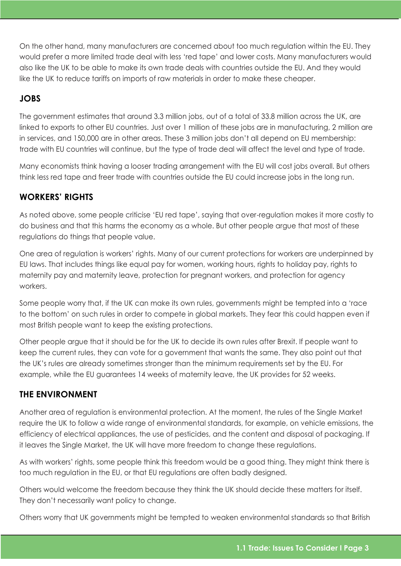On the other hand, many manufacturers are concerned about too much regulation within the EU. They would prefer a more limited trade deal with less 'red tape' and lower costs. Many manufacturers would also like the UK to be able to make its own trade deals with countries outside the EU. And they would like the UK to reduce tariffs on imports of raw materials in order to make these cheaper.

#### **JOBS**

The government estimates that around 3.3 million jobs, out of a total of 33.8 million across the UK, are linked to exports to other EU countries. Just over 1 million of these jobs are in manufacturing, 2 million are in services, and 150,000 are in other areas. These 3 million jobs don't all depend on EU membership: trade with EU countries will continue, but the type of trade deal will affect the level and type of trade.

Many economists think having a looser trading arrangement with the EU will cost jobs overall. But others think less red tape and freer trade with countries outside the EU could increase jobs in the long run.

## **WORKERS' RIGHTS**

As noted above, some people criticise 'EU red tape', saying that over-regulation makes it more costly to do business and that this harms the economy as a whole. But other people argue that most of these regulations do things that people value.

One area of regulation is workers' rights. Many of our current protections for workers are underpinned by EU laws. That includes things like equal pay for women, working hours, rights to holiday pay, rights to maternity pay and maternity leave, protection for pregnant workers, and protection for agency workers.

Some people worry that, if the UK can make its own rules, governments might be tempted into a 'race to the bottom' on such rules in order to compete in global markets. They fear this could happen even if most British people want to keep the existing protections.

Other people argue that it should be for the UK to decide its own rules after Brexit. If people want to keep the current rules, they can vote for a government that wants the same. They also point out that the UK's rules are already sometimes stronger than the minimum requirements set by the EU. For example, while the EU guarantees 14 weeks of maternity leave, the UK provides for 52 weeks.

## **THE ENVIRONMENT**

Another area of regulation is environmental protection. At the moment, the rules of the Single Market require the UK to follow a wide range of environmental standards, for example, on vehicle emissions, the efficiency of electrical appliances, the use of pesticides, and the content and disposal of packaging. If it leaves the Single Market, the UK will have more freedom to change these regulations.

As with workers' rights, some people think this freedom would be a good thing. They might think there is too much regulation in the EU, or that EU regulations are often badly designed.

Others would welcome the freedom because they think the UK should decide these matters for itself. They don't necessarily want policy to change.

Others worry that UK governments might be tempted to weaken environmental standards so that British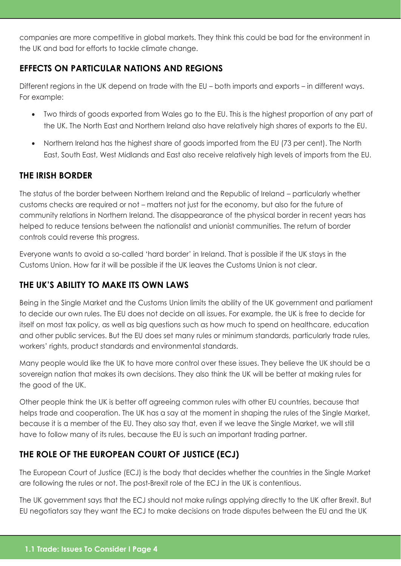companies are more competitive in global markets. They think this could be bad for the environment in the UK and bad for efforts to tackle climate change.

## **EFFECTS ON PARTICULAR NATIONS AND REGIONS**

Different regions in the UK depend on trade with the EU – both imports and exports – in different ways. For example:

- Two thirds of goods exported from Wales go to the EU. This is the highest proportion of any part of the UK. The North East and Northern Ireland also have relatively high shares of exports to the EU.
- Northern Ireland has the highest share of goods imported from the EU (73 per cent). The North East, South East, West Midlands and East also receive relatively high levels of imports from the EU.

## **THE IRISH BORDER**

The status of the border between Northern Ireland and the Republic of Ireland – particularly whether customs checks are required or not – matters not just for the economy, but also for the future of community relations in Northern Ireland. The disappearance of the physical border in recent years has helped to reduce tensions between the nationalist and unionist communities. The return of border controls could reverse this progress.

Everyone wants to avoid a so-called 'hard border' in Ireland. That is possible if the UK stays in the Customs Union. How far it will be possible if the UK leaves the Customs Union is not clear.

# **THE UK'S ABILITY TO MAKE ITS OWN LAWS**

Being in the Single Market and the Customs Union limits the ability of the UK government and parliament to decide our own rules. The EU does not decide on all issues. For example, the UK is free to decide for itself on most tax policy, as well as big questions such as how much to spend on healthcare, education and other public services. But the EU does set many rules or minimum standards, particularly trade rules, workers' rights, product standards and environmental standards.

Many people would like the UK to have more control over these issues. They believe the UK should be a sovereign nation that makes its own decisions. They also think the UK will be better at making rules for the good of the UK.

Other people think the UK is better off agreeing common rules with other EU countries, because that helps trade and cooperation. The UK has a say at the moment in shaping the rules of the Single Market, because it is a member of the EU. They also say that, even if we leave the Single Market, we will still have to follow many of its rules, because the EU is such an important trading partner.

# **THE ROLE OF THE EUROPEAN COURT OF JUSTICE (ECJ)**

The European Court of Justice (ECJ) is the body that decides whether the countries in the Single Market are following the rules or not. The post-Brexit role of the ECJ in the UK is contentious.

The UK government says that the ECJ should not make rulings applying directly to the UK after Brexit. But EU negotiators say they want the ECJ to make decisions on trade disputes between the EU and the UK